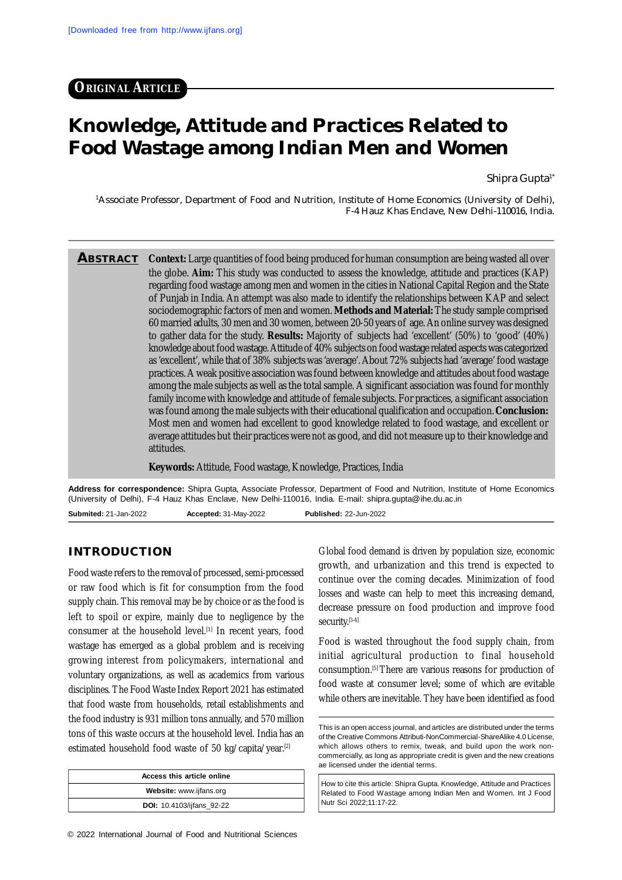# **Knowledge, Attitude and Practices Related to Food Wastage among Indian Men and Women**

Shipra Gupta<sup>1\*</sup>

<sup>1</sup>Associate Professor, Department of Food and Nutrition, Institute of Home Economics (University of Delhi), F-4 Hauz Khas Enclave, New Delhi-110016, India.

**ABSTRACT** Context: Large quantities of food being produced for human consumption are being wasted all over the globe. **Aim:** This study was conducted to assess the knowledge, attitude and practices (KAP) regarding food wastage among men and women in the cities in National Capital Region and the State of Punjab in India. An attempt was also made to identify the relationships between KAP and select sociodemographic factors of men and women. **Methods and Material:** The study sample comprised 60 married adults, 30 men and 30 women, between 20-50 years of age. An online survey was designed to gather data for the study. **Results:** Majority of subjects had 'excellent' (50%) to 'good' (40%) knowledge about food wastage. Attitude of 40% subjects on food wastage related aspects was categorized as 'excellent', while that of 38% subjects was 'average'. About 72% subjects had 'average' food wastage practices. A weak positive association was found between knowledge and attitudes about food wastage among the male subjects as well as the total sample. A significant association was found for monthly family income with knowledge and attitude of female subjects. For practices, a significant association was found among the male subjects with their educational qualification and occupation. **Conclusion:** Most men and women had excellent to good knowledge related to food wastage, and excellent or average attitudes but their practices were not as good, and did not measure up to their knowledge and attitudes.

**Keywords:** Attitude, Food wastage, Knowledge, Practices, India

**Address for correspondence:** Shipra Gupta, Associate Professor, Department of Food and Nutrition, Institute of Home Economics (University of Delhi), F-4 Hauz Khas Enclave, New Delhi-110016, India. E-mail: [shipra.gupta@ihe.du.ac.in](mailto:shipra.gupta@ihe.du.ac.in) **Submited:** 21-Jan-2022 **Accepted:** 31-May-2022 **Published:** 22-Jun-2022

## **INTRODUCTION**

Food waste refers to the removal of processed, semi-processed or raw food which is fit for consumption from the food supply chain. This removal may be by choice or as the food is left to spoil or expire, mainly due to negligence by the consumer at the household level.<sup>[1]</sup> In recent years, food wastage has emerged as a global problem and is receiving growing interest from policymakers, international and voluntary organizations, as well as academics from various disciplines. The Food Waste Index Report 2021 has estimated that food waste from households, retail establishments and the food industry is 931 million tons annually, and 570 million tons of this waste occurs at the household level. India has an estimated household food waste of 50 kg/capita/year.<sup>[2]</sup>

| Access this article online       |  |  |  |  |  |
|----------------------------------|--|--|--|--|--|
| Website: www.ijfans.org          |  |  |  |  |  |
| <b>DOI:</b> 10.4103/ijfans 92-22 |  |  |  |  |  |

Global food demand is driven by population size, economic growth, and urbanization and this trend is expected to continue over the coming decades. Minimization of food losses and waste can help to meet this increasing demand, decrease pressure on food production and improve food security.[3-4]

Food is wasted throughout the food supply chain, from initial agricultural production to final household consumption.[5] There are various reasons for production of food waste at consumer level; some of which are evitable while others are inevitable. They have been identified as food

How to cite this article: Shipra Gupta. Knowledge, Attitude and Practices Related to Food Wastage among Indian Men and Women. Int J Food Nutr Sci 2022;11:17-22.

This is an open access journal, and articles are distributed under the terms of the Creative Commons Attributi-NonCommercial-ShareAlike 4.0 License, which allows others to remix, tweak, and build upon the work noncommercially, as long as appropriate credit is given and the new creations ae licensed under the idential terms.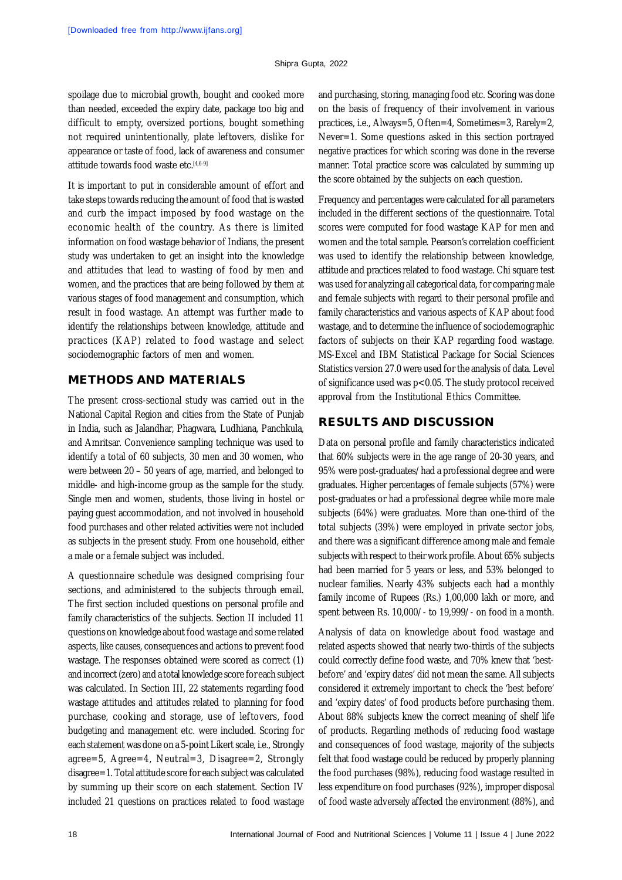spoilage due to microbial growth, bought and cooked more than needed, exceeded the expiry date, package too big and difficult to empty, oversized portions, bought something not required unintentionally, plate leftovers, dislike for appearance or taste of food, lack of awareness and consumer attitude towards food waste etc.<sup>[4,6-9]</sup>

It is important to put in considerable amount of effort and take steps towards reducing the amount of food that is wasted and curb the impact imposed by food wastage on the economic health of the country. As there is limited information on food wastage behavior of Indians, the present study was undertaken to get an insight into the knowledge and attitudes that lead to wasting of food by men and women, and the practices that are being followed by them at various stages of food management and consumption, which result in food wastage. An attempt was further made to identify the relationships between knowledge, attitude and practices (KAP) related to food wastage and select sociodemographic factors of men and women.

## **METHODS AND MATERIALS**

The present cross-sectional study was carried out in the National Capital Region and cities from the State of Punjab in India, such as Jalandhar, Phagwara, Ludhiana, Panchkula, and Amritsar. Convenience sampling technique was used to identify a total of 60 subjects, 30 men and 30 women, who were between 20 – 50 years of age, married, and belonged to middle- and high-income group as the sample for the study. Single men and women, students, those living in hostel or paying guest accommodation, and not involved in household food purchases and other related activities were not included as subjects in the present study. From one household, either a male or a female subject was included.

A questionnaire schedule was designed comprising four sections, and administered to the subjects through email. The first section included questions on personal profile and family characteristics of the subjects. Section II included 11 questions on knowledge about food wastage and some related aspects, like causes, consequences and actions to prevent food wastage. The responses obtained were scored as correct (1) and incorrect (zero) and a total knowledge score for each subject was calculated. In Section III, 22 statements regarding food wastage attitudes and attitudes related to planning for food purchase, cooking and storage, use of leftovers, food budgeting and management etc. were included. Scoring for each statement was done on a 5-point Likert scale, i.e., Strongly agree=5, Agree=4, Neutral=3, Disagree=2, Strongly disagree=1. Total attitude score for each subject was calculated by summing up their score on each statement. Section IV included 21 questions on practices related to food wastage

and purchasing, storing, managing food etc. Scoring was done on the basis of frequency of their involvement in various practices, i.e., Always=5, Often=4, Sometimes=3, Rarely=2, Never=1. Some questions asked in this section portrayed negative practices for which scoring was done in the reverse manner. Total practice score was calculated by summing up the score obtained by the subjects on each question.

Frequency and percentages were calculated for all parameters included in the different sections of the questionnaire. Total scores were computed for food wastage KAP for men and women and the total sample. Pearson's correlation coefficient was used to identify the relationship between knowledge, attitude and practices related to food wastage. Chi square test was used for analyzing all categorical data, for comparing male and female subjects with regard to their personal profile and family characteristics and various aspects of KAP about food wastage, and to determine the influence of sociodemographic factors of subjects on their KAP regarding food wastage. MS-Excel and IBM Statistical Package for Social Sciences Statistics version 27.0 were used for the analysis of data. Level of significance used was p<0.05. The study protocol received approval from the Institutional Ethics Committee.

## **RESULTS AND DISCUSSION**

Data on personal profile and family characteristics indicated that 60% subjects were in the age range of 20-30 years, and 95% were post-graduates/had a professional degree and were graduates. Higher percentages of female subjects (57%) were post-graduates or had a professional degree while more male subjects (64%) were graduates. More than one-third of the total subjects (39%) were employed in private sector jobs, and there was a significant difference among male and female subjects with respect to their work profile. About 65% subjects had been married for 5 years or less, and 53% belonged to nuclear families. Nearly 43% subjects each had a monthly family income of Rupees (Rs.) 1,00,000 lakh or more, and spent between Rs. 10,000/- to 19,999/- on food in a month.

Analysis of data on knowledge about food wastage and related aspects showed that nearly two-thirds of the subjects could correctly define food waste, and 70% knew that 'bestbefore' and 'expiry dates' did not mean the same. All subjects considered it extremely important to check the 'best before' and 'expiry dates' of food products before purchasing them. About 88% subjects knew the correct meaning of shelf life of products. Regarding methods of reducing food wastage and consequences of food wastage, majority of the subjects felt that food wastage could be reduced by properly planning the food purchases (98%), reducing food wastage resulted in less expenditure on food purchases (92%), improper disposal of food waste adversely affected the environment (88%), and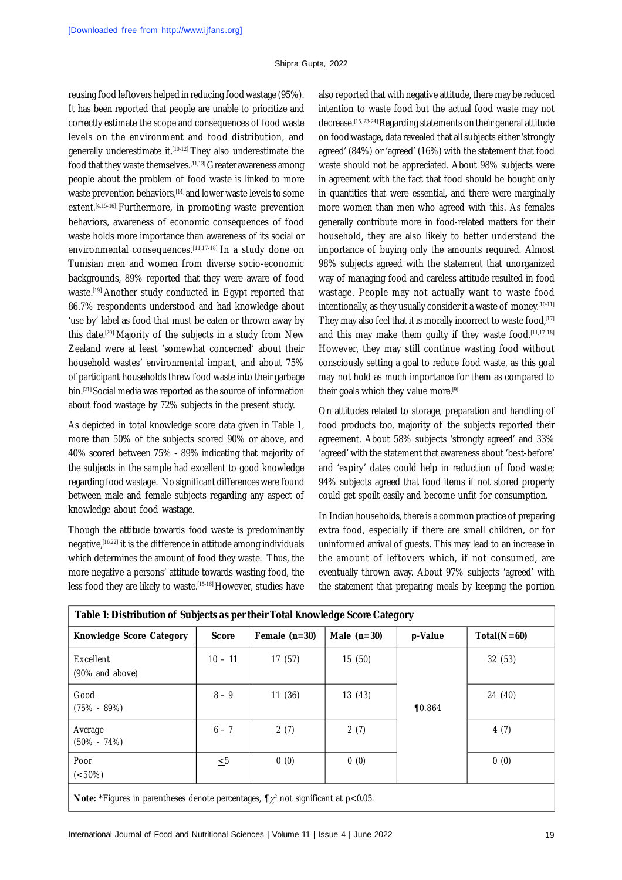reusing food leftovers helped in reducing food wastage (95%). It has been reported that people are unable to prioritize and correctly estimate the scope and consequences of food waste levels on the environment and food distribution, and generally underestimate it.<sup>[10-12]</sup> They also underestimate the food that they waste themselves.<sup>[11,13]</sup> Greater awareness among people about the problem of food waste is linked to more waste prevention behaviors.<sup>[14]</sup> and lower waste levels to some extent.<sup>[4,15-16]</sup> Furthermore, in promoting waste prevention behaviors, awareness of economic consequences of food waste holds more importance than awareness of its social or environmental consequences.[11,17-18] In a study done on Tunisian men and women from diverse socio-economic backgrounds, 89% reported that they were aware of food waste.<sup>[19]</sup> Another study conducted in Egypt reported that 86.7% respondents understood and had knowledge about 'use by' label as food that must be eaten or thrown away by this date.[20] Majority of the subjects in a study from New Zealand were at least 'somewhat concerned' about their household wastes' environmental impact, and about 75% of participant households threw food waste into their garbage bin.[21] Social media was reported as the source of information about food wastage by 72% subjects in the present study.

As depicted in total knowledge score data given in Table 1, more than 50% of the subjects scored 90% or above, and 40% scored between 75% - 89% indicating that majority of the subjects in the sample had excellent to good knowledge regarding food wastage. No significant differences were found between male and female subjects regarding any aspect of knowledge about food wastage.

Though the attitude towards food waste is predominantly negative,[16,22] it is the difference in attitude among individuals which determines the amount of food they waste. Thus, the more negative a persons' attitude towards wasting food, the less food they are likely to waste.[15-16] However, studies have

also reported that with negative attitude, there may be reduced intention to waste food but the actual food waste may not decrease.[15, 23-24] Regarding statements on their general attitude on food wastage, data revealed that all subjects either 'strongly agreed' (84%) or 'agreed' (16%) with the statement that food waste should not be appreciated. About 98% subjects were in agreement with the fact that food should be bought only in quantities that were essential, and there were marginally more women than men who agreed with this. As females generally contribute more in food-related matters for their household, they are also likely to better understand the importance of buying only the amounts required. Almost 98% subjects agreed with the statement that unorganized way of managing food and careless attitude resulted in food wastage. People may not actually want to waste food intentionally, as they usually consider it a waste of money.<sup>[10-11]</sup> They may also feel that it is morally incorrect to waste food.[17] and this may make them quilty if they waste food.[11,17-18] However, they may still continue wasting food without consciously setting a goal to reduce food waste, as this goal may not hold as much importance for them as compared to their goals which they value more.<sup>[9]</sup>

On attitudes related to storage, preparation and handling of food products too, majority of the subjects reported their agreement. About 58% subjects 'strongly agreed' and 33% 'agreed' with the statement that awareness about 'best-before' and 'expiry' dates could help in reduction of food waste; 94% subjects agreed that food items if not stored properly could get spoilt easily and become unfit for consumption.

In Indian households, there is a common practice of preparing extra food, especially if there are small children, or for uninformed arrival of guests. This may lead to an increase in the amount of leftovers which, if not consumed, are eventually thrown away. About 97% subjects 'agreed' with the statement that preparing meals by keeping the portion

| Table 1: Distribution of Subjects as per their Total Knowledge Score Category                                                                                                                                                                                                                                      |              |                 |               |            |               |  |
|--------------------------------------------------------------------------------------------------------------------------------------------------------------------------------------------------------------------------------------------------------------------------------------------------------------------|--------------|-----------------|---------------|------------|---------------|--|
| <b>Knowledge Score Category</b>                                                                                                                                                                                                                                                                                    | <b>Score</b> | Female $(n=30)$ | Male $(n=30)$ | $p$ -Value | $Total(N=60)$ |  |
| Excellent<br>(90% and above)                                                                                                                                                                                                                                                                                       | $10 - 11$    | 17(57)          | 15(50)        |            | 32(53)        |  |
| Good<br>$(75\% - 89\%)$                                                                                                                                                                                                                                                                                            | $8 - 9$      | 11(36)          | 13(43)        | $\P 0.864$ | 24 (40)       |  |
| Average<br>$(50\% - 74\%)$                                                                                                                                                                                                                                                                                         | $6 - 7$      | 2(7)            | 2(7)          |            | 4(7)          |  |
| Poor<br>$(<50\%)$                                                                                                                                                                                                                                                                                                  | $\leq 5$     | 0(0)            | 0(0)          |            | 0(0)          |  |
| <b>A</b> $\mathbf{I}$ , $\mathbf{I}$ , $\mathbf{I}$ , $\mathbf{I}$ , $\mathbf{I}$ , $\mathbf{I}$ , $\mathbf{I}$ , $\mathbf{I}$ , $\mathbf{I}$ , $\mathbf{I}$ , $\mathbf{I}$ , $\mathbf{I}$ , $\mathbf{I}$ , $\mathbf{I}$ , $\mathbf{I}$ , $\mathbf{I}$ , $\mathbf{I}$ , $\mathbf{I}$ , $\mathbf{I}$ , $\mathbf{I}$ |              |                 |               |            |               |  |

**Note:** \*Figures in parentheses denote percentages,  $\P\chi^2$  not significant at p<0.05.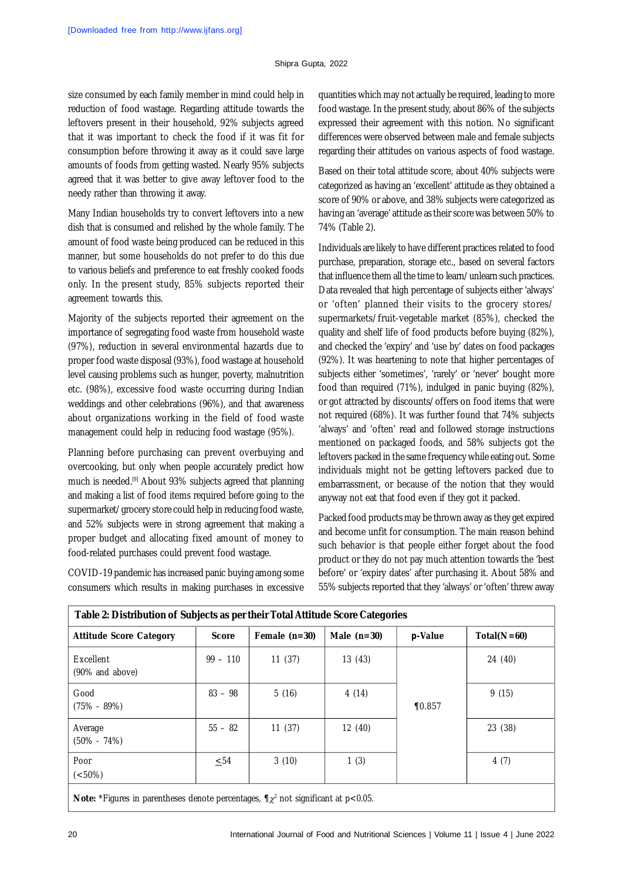size consumed by each family member in mind could help in reduction of food wastage. Regarding attitude towards the leftovers present in their household, 92% subjects agreed that it was important to check the food if it was fit for consumption before throwing it away as it could save large amounts of foods from getting wasted. Nearly 95% subjects agreed that it was better to give away leftover food to the needy rather than throwing it away.

Many Indian households try to convert leftovers into a new dish that is consumed and relished by the whole family. The amount of food waste being produced can be reduced in this manner, but some households do not prefer to do this due to various beliefs and preference to eat freshly cooked foods only. In the present study, 85% subjects reported their agreement towards this.

Majority of the subjects reported their agreement on the importance of segregating food waste from household waste (97%), reduction in several environmental hazards due to proper food waste disposal (93%), food wastage at household level causing problems such as hunger, poverty, malnutrition etc. (98%), excessive food waste occurring during Indian weddings and other celebrations (96%), and that awareness about organizations working in the field of food waste management could help in reducing food wastage (95%).

Planning before purchasing can prevent overbuying and overcooking, but only when people accurately predict how much is needed.<sup>[9]</sup> About 93% subjects agreed that planning and making a list of food items required before going to the supermarket/grocery store could help in reducing food waste, and 52% subjects were in strong agreement that making a proper budget and allocating fixed amount of money to food-related purchases could prevent food wastage.

COVID-19 pandemic has increased panic buying among some consumers which results in making purchases in excessive quantities which may not actually be required, leading to more food wastage. In the present study, about 86% of the subjects expressed their agreement with this notion. No significant differences were observed between male and female subjects regarding their attitudes on various aspects of food wastage.

Based on their total attitude score, about 40% subjects were categorized as having an 'excellent' attitude as they obtained a score of 90% or above, and 38% subjects were categorized as having an 'average' attitude as their score was between 50% to 74% (Table 2).

Individuals are likely to have different practices related to food purchase, preparation, storage etc., based on several factors that influence them all the time to learn/unlearn such practices. Data revealed that high percentage of subjects either 'always' or 'often' planned their visits to the grocery stores/ supermarkets/fruit-vegetable market (85%), checked the quality and shelf life of food products before buying (82%), and checked the 'expiry' and 'use by' dates on food packages (92%). It was heartening to note that higher percentages of subjects either 'sometimes', 'rarely' or 'never' bought more food than required (71%), indulged in panic buying (82%), or got attracted by discounts/offers on food items that were not required (68%). It was further found that 74% subjects 'always' and 'often' read and followed storage instructions mentioned on packaged foods, and 58% subjects got the leftovers packed in the same frequency while eating out. Some individuals might not be getting leftovers packed due to embarrassment, or because of the notion that they would anyway not eat that food even if they got it packed.

Packed food products may be thrown away as they get expired and become unfit for consumption. The main reason behind such behavior is that people either forget about the food product or they do not pay much attention towards the 'best before' or 'expiry dates' after purchasing it. About 58% and 55% subjects reported that they 'always' or 'often' threw away

| Table 2: Distribution of Subjects as per their Total Attitude Score Categories                                                                                                                                                              |              |                 |               |            |               |  |
|---------------------------------------------------------------------------------------------------------------------------------------------------------------------------------------------------------------------------------------------|--------------|-----------------|---------------|------------|---------------|--|
| <b>Attitude Score Category</b>                                                                                                                                                                                                              | <b>Score</b> | Female $(n=30)$ | Male $(n=30)$ | $p$ -Value | $Total(N=60)$ |  |
| Excellent<br>(90% and above)                                                                                                                                                                                                                | $99 - 110$   | 11(37)          | 13(43)        |            | 24 (40)       |  |
| Good<br>$(75\% - 89\%)$                                                                                                                                                                                                                     | $83 - 98$    | 5(16)           | 4(14)         | $\P 0.857$ | 9(15)         |  |
| Average<br>$(50\% - 74\%)$                                                                                                                                                                                                                  | $55 - 82$    | 11(37)          | 12(40)        |            | 23 (38)       |  |
| Poor<br>$(<50\%)$                                                                                                                                                                                                                           | $\leq 54$    | 3(10)           | 1(3)          |            | 4(7)          |  |
| <b>Ality <math>\star</math> Figures in a constitute departs a construct of <math>\theta</math> and charge <math>\theta</math> and <math>\star</math> and <math>\circ</math> <math>\theta</math> <math>\theta</math> <math>\theta</math></b> |              |                 |               |            |               |  |

**Note:** \*Figures in parentheses denote percentages,  $\P\chi^2$  not significant at p<0.05.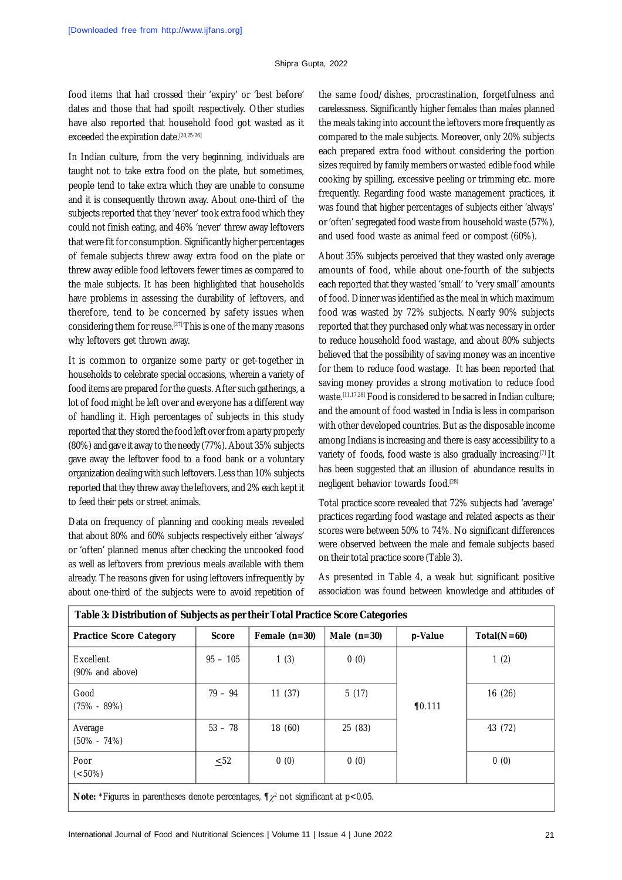food items that had crossed their 'expiry' or 'best before' dates and those that had spoilt respectively. Other studies have also reported that household food got wasted as it exceeded the expiration date.<sup>[20,25-26]</sup>

In Indian culture, from the very beginning, individuals are taught not to take extra food on the plate, but sometimes, people tend to take extra which they are unable to consume and it is consequently thrown away. About one-third of the subjects reported that they 'never' took extra food which they could not finish eating, and 46% 'never' threw away leftovers that were fit for consumption. Significantly higher percentages of female subjects threw away extra food on the plate or threw away edible food leftovers fewer times as compared to the male subjects. It has been highlighted that households have problems in assessing the durability of leftovers, and therefore, tend to be concerned by safety issues when considering them for reuse.[27] This is one of the many reasons why leftovers get thrown away.

It is common to organize some party or get-together in households to celebrate special occasions, wherein a variety of food items are prepared for the guests. After such gatherings, a lot of food might be left over and everyone has a different way of handling it. High percentages of subjects in this study reported that they stored the food left over from a party properly (80%) and gave it away to the needy (77%). About 35% subjects gave away the leftover food to a food bank or a voluntary organization dealing with such leftovers. Less than 10% subjects reported that they threw away the leftovers, and 2% each kept it to feed their pets or street animals.

Data on frequency of planning and cooking meals revealed that about 80% and 60% subjects respectively either 'always' or 'often' planned menus after checking the uncooked food as well as leftovers from previous meals available with them already. The reasons given for using leftovers infrequently by about one-third of the subjects were to avoid repetition of

the same food/dishes, procrastination, forgetfulness and carelessness. Significantly higher females than males planned the meals taking into account the leftovers more frequently as compared to the male subjects. Moreover, only 20% subjects each prepared extra food without considering the portion sizes required by family members or wasted edible food while cooking by spilling, excessive peeling or trimming etc. more frequently. Regarding food waste management practices, it was found that higher percentages of subjects either 'always' or 'often' segregated food waste from household waste (57%), and used food waste as animal feed or compost (60%).

About 35% subjects perceived that they wasted only average amounts of food, while about one-fourth of the subjects each reported that they wasted 'small' to 'very small' amounts of food. Dinner was identified as the meal in which maximum food was wasted by 72% subjects. Nearly 90% subjects reported that they purchased only what was necessary in order to reduce household food wastage, and about 80% subjects believed that the possibility of saving money was an incentive for them to reduce food wastage. It has been reported that saving money provides a strong motivation to reduce food waste.[11,17,28] Food is considered to be sacred in Indian culture; and the amount of food wasted in India is less in comparison with other developed countries. But as the disposable income among Indians is increasing and there is easy accessibility to a variety of foods, food waste is also gradually increasing.[7] It has been suggested that an illusion of abundance results in negligent behavior towards food.[28]

Total practice score revealed that 72% subjects had 'average' practices regarding food wastage and related aspects as their scores were between 50% to 74%. No significant differences were observed between the male and female subjects based on their total practice score (Table 3).

As presented in Table 4, a weak but significant positive association was found between knowledge and attitudes of

| Table 3: Distribution of Subjects as per their Total Practice Score Categories                 |              |                 |               |            |               |  |
|------------------------------------------------------------------------------------------------|--------------|-----------------|---------------|------------|---------------|--|
| <b>Practice Score Category</b>                                                                 | <b>Score</b> | Female $(n=30)$ | Male $(n=30)$ | $p$ -Value | $Total(N=60)$ |  |
| Excellent<br>(90% and above)                                                                   | $95 - 105$   | 1(3)            | 0(0)          |            | 1(2)          |  |
| Good<br>$(75\% - 89\%)$                                                                        | $79 - 94$    | 11(37)          | 5(17)         | $\P 0.111$ | 16(26)        |  |
| Average<br>$(50\% - 74\%)$                                                                     | $53 - 78$    | 18 (60)         | 25 (83)       |            | 43 (72)       |  |
| Poor<br>$(<50\%)$                                                                              | $\leq$ 52    | 0(0)            | 0(0)          |            | 0(0)          |  |
| <b>Note:</b> *Figures in parentheses denote percentages, $\P\chi^2$ not significant at p<0.05. |              |                 |               |            |               |  |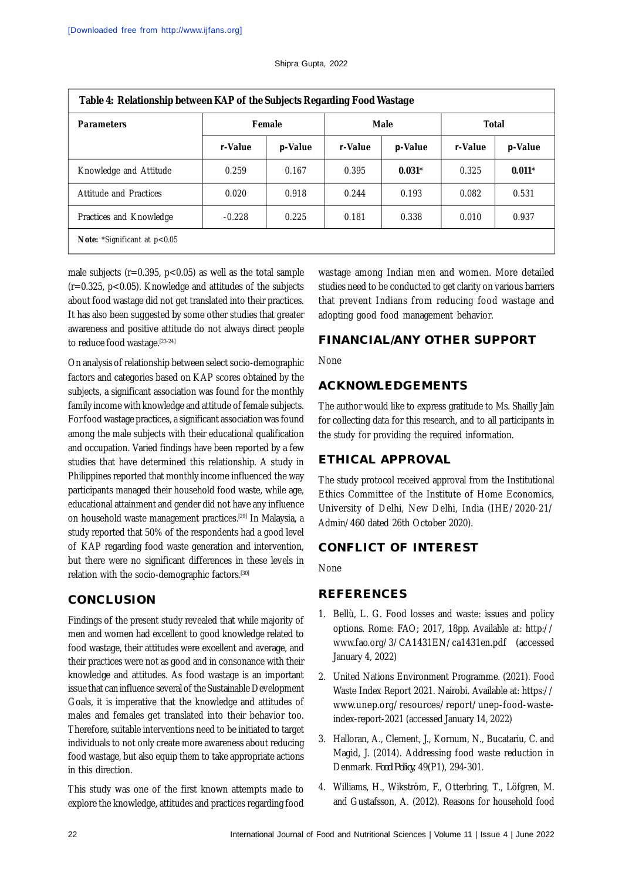| <b>Parameters</b>                       | Table 4: Relationship between KAP of the Subjects Regarding Food Wastage<br>Female |         | <b>Male</b> |          | <b>Total</b> |          |
|-----------------------------------------|------------------------------------------------------------------------------------|---------|-------------|----------|--------------|----------|
|                                         | r-Value                                                                            | p-Value | r-Value     | p-Value  | r-Value      | p-Value  |
| Knowledge and Attitude                  | 0.259                                                                              | 0.167   | 0.395       | $0.031*$ | 0.325        | $0.011*$ |
| Attitude and Practices                  | 0.020                                                                              | 0.918   | 0.244       | 0.193    | 0.082        | 0.531    |
| Practices and Knowledge                 | $-0.228$                                                                           | 0.225   | 0.181       | 0.338    | 0.010        | 0.937    |
| <b>Note:</b> *Significant at $p < 0.05$ |                                                                                    |         |             |          |              |          |

male subjects ( $r=0.395$ ,  $p<0.05$ ) as well as the total sample  $(r=0.325, p<0.05)$ . Knowledge and attitudes of the subjects about food wastage did not get translated into their practices. It has also been suggested by some other studies that greater awareness and positive attitude do not always direct people to reduce food wastage.[23-24]

On analysis of relationship between select socio-demographic factors and categories based on KAP scores obtained by the subjects, a significant association was found for the monthly family income with knowledge and attitude of female subjects. For food wastage practices, a significant association was found among the male subjects with their educational qualification and occupation. Varied findings have been reported by a few studies that have determined this relationship. A study in Philippines reported that monthly income influenced the way participants managed their household food waste, while age, educational attainment and gender did not have any influence on household waste management practices.<sup>[29]</sup> In Malaysia, a study reported that 50% of the respondents had a good level of KAP regarding food waste generation and intervention, but there were no significant differences in these levels in relation with the socio-demographic factors.[30]

## **CONCLUSION**

Findings of the present study revealed that while majority of men and women had excellent to good knowledge related to food wastage, their attitudes were excellent and average, and their practices were not as good and in consonance with their knowledge and attitudes. As food wastage is an important issue that can influence several of the Sustainable Development Goals, it is imperative that the knowledge and attitudes of males and females get translated into their behavior too. Therefore, suitable interventions need to be initiated to target individuals to not only create more awareness about reducing food wastage, but also equip them to take appropriate actions in this direction.

This study was one of the first known attempts made to explore the knowledge, attitudes and practices regarding food wastage among Indian men and women. More detailed studies need to be conducted to get clarity on various barriers that prevent Indians from reducing food wastage and adopting good food management behavior.

# **FINANCIAL/ANY OTHER SUPPORT**

None

# **ACKNOWLEDGEMENTS**

The author would like to express gratitude to Ms. Shailly Jain for collecting data for this research, and to all participants in the study for providing the required information.

# **ETHICAL APPROVAL**

The study protocol received approval from the Institutional Ethics Committee of the Institute of Home Economics, University of Delhi, New Delhi, India (IHE/2020-21/ Admin/460 dated 26th October 2020).

# **CONFLICT OF INTEREST**

None

# **REFERENCES**

- 1. Bellù, L. G. Food losses and waste: issues and policy options. Rome: FAO; 2017, 18pp. Available at: http:// [www.fao.org/3/CA1431EN/ca1431en.pdf](http://www.fao.org/3/CA1431EN/ca1431en.pdf) (accessed January 4, 2022)
- 2. United Nations Environment Programme. (2021). Food Waste Index Report 2021. Nairobi. Available at:<https://> [www.unep.org/resources/report/unep-food-waste](http://www.unep.org/resources/report/unep-food-waste-)index-report-2021 (accessed January 14, 2022)
- 3. Halloran, A., Clement, J., Kornum, N., Bucatariu, C. and Magid, J. (2014). Addressing food waste reduction in Denmark. *Food Policy*, 49(P1), 294-301.
- 4. Williams, H., Wikström, F., Otterbring, T., Löfgren, M. and Gustafsson, A. (2012). Reasons for household food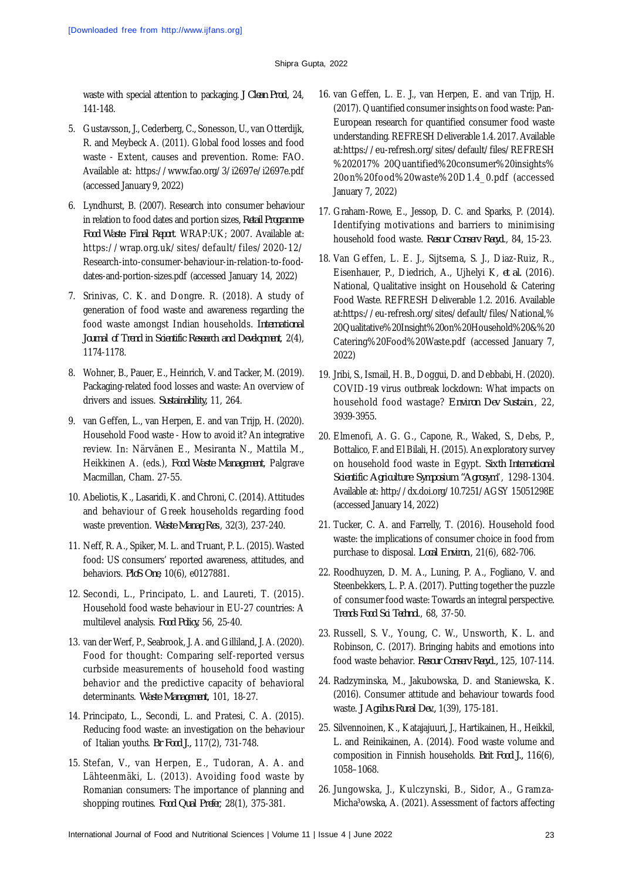waste with special attention to packaging. *J Clean Prod*., 24, 141-148.

- 5. Gustavsson, J., Cederberg, C., Sonesson, U., van Otterdijk, R. and Meybeck A. (2011). Global food losses and food waste - Extent, causes and prevention. Rome: FAO. Available at: <https://www.fao.org/3/i2697e/i2697e.pdf> (accessed January 9, 2022)
- 6. Lyndhurst, B. (2007). Research into consumer behaviour in relation to food dates and portion sizes, *Retail Programme-Food Waste: Final Report*. WRAP:UK; 2007. Available at: <https://wrap.org.uk/sites/default/files/2020-12/> Research-into-consumer-behaviour-in-relation-to-fooddates-and-portion-sizes.pdf (accessed January 14, 2022)
- 7. Srinivas, C. K. and Dongre. R. (2018). A study of generation of food waste and awareness regarding the food waste amongst Indian households. *International Journal of Trend in Scientific Research and Development*, 2(4), 1174-1178.
- 8. Wohner, B., Pauer, E., Heinrich, V. and Tacker, M. (2019). Packaging-related food losses and waste: An overview of drivers and issues. *Sustainability,* 11, 264.
- 9. van Geffen, L., van Herpen, E. and van Trijp, H. (2020). Household Food waste - How to avoid it? An integrative review. In: Närvänen E., Mesiranta N., Mattila M., Heikkinen A. (eds.), *Food Waste Management*, Palgrave Macmillan, Cham. 27-55.
- 10. Abeliotis, K., Lasaridi, K. and Chroni, C. (2014). Attitudes and behaviour of Greek households regarding food waste prevention. *Waste Manag Res*., 32(3), 237-240.
- 11. Neff, R. A., Spiker, M. L. and Truant, P. L. (2015). Wasted food: US consumers' reported awareness, attitudes, and behaviors. *PloS One*, 10(6), e0127881.
- 12. Secondi, L., Principato, L. and Laureti, T. (2015). Household food waste behaviour in EU-27 countries: A multilevel analysis. *Food Policy,* 56, 25-40.
- 13. van der Werf, P., Seabrook, J. A. and Gilliland, J. A. (2020). Food for thought: Comparing self-reported versus curbside measurements of household food wasting behavior and the predictive capacity of behavioral determinants. *Waste Management,* 101, 18-27.
- 14. Principato, L., Secondi, L. and Pratesi, C. A. (2015). Reducing food waste: an investigation on the behaviour of Italian youths. *Br Food J.,* 117(2), 731-748.
- 15. Stefan, V., van Herpen, E., Tudoran, A. A. and Lähteenmäki, L. (2013). Avoiding food waste by Romanian consumers: The importance of planning and shopping routines. *Food Qual Prefer*, 28(1), 375-381.
- 16. van Geffen, L. E. J., van Herpen, E. and van Trijp, H. (2017). Quantified consumer insights on food waste: Pan-European research for quantified consumer food waste understanding. REFRESH Deliverable 1.4. 2017. Available at:<https://eu-refresh.org/sites/default/files/REFRESH> %202017% 20Quantified%20consumer%20insights% 20on%20food%20waste%20D1.4\_0.pdf (accessed January 7, 2022)
- 17. Graham-Rowe, E., Jessop, D. C. and Sparks, P. (2014). Identifying motivations and barriers to minimising household food waste. *Resour Conserv Recycl*., 84, 15-23.
- 18. Van Geffen, L. E. J., Sijtsema, S. J., Diaz-Ruiz, R., Eisenhauer, P., Diedrich, A., Ujhelyi K, *et al.* (2016). National, Qualitative insight on Household & Catering Food Waste. REFRESH Deliverable 1.2. 2016. Available at:<https://eu-refresh.org/sites/default/files/National,%> 20Qualitative%20Insight%20on%20Household%20&%20 Catering%20Food%20Waste.pdf (accessed January 7, 2022)
- 19. Jribi, S., Ismail, H. B., Doggui, D. and Debbabi, H. (2020). COVID-19 virus outbreak lockdown: What impacts on household food wastage? *Environ Dev Sustain*., 22, 3939-3955.
- 20. Elmenofi, A. G. G., Capone, R., Waked, S., Debs, P., Bottalico, F. and El Bilali, H. (2015). An exploratory survey on household food waste in Egypt. *Sixth International Scientific Agriculture Symposium "Agrosym*", 1298-1304. Available at:<http://dx.doi.org/10.7251/AGSY> 15051298E (accessed January 14, 2022)
- 21. Tucker, C. A. and Farrelly, T. (2016). Household food waste: the implications of consumer choice in food from purchase to disposal. *Local Environ*., 21(6), 682-706.
- 22. Roodhuyzen, D. M. A., Luning, P. A., Fogliano, V. and Steenbekkers, L. P. A. (2017). Putting together the puzzle of consumer food waste: Towards an integral perspective. *Trends Food Sci Technol*., 68, 37-50.
- 23. Russell, S. V., Young, C. W., Unsworth, K. L. and Robinson, C. (2017). Bringing habits and emotions into food waste behavior. *Resour Conserv Recycl.,* 125, 107-114.
- 24. Radzyminska, M., Jakubowska, D. and Staniewska, K. (2016). Consumer attitude and behaviour towards food waste. *J Agribus Rural Dev.,* 1(39), 175-181.
- 25. Silvennoinen, K., Katajajuuri, J., Hartikainen, H., Heikkil, L. and Reinikainen, A. (2014). Food waste volume and composition in Finnish households. *Brit Food J.,* 116(6), 1058–1068.
- 26. Jungowska, J., Kulczynski, B., Sidor, A., Gramza-Micha<sup>3</sup>owska, A. (2021). Assessment of factors affecting